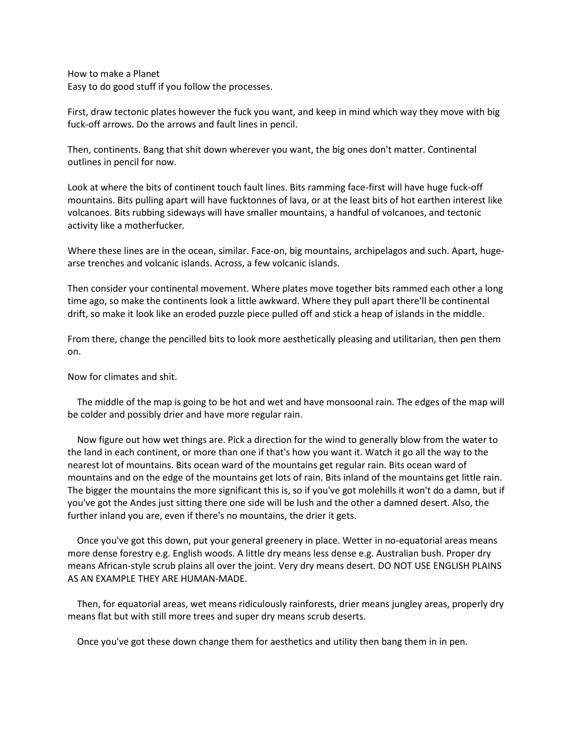How to make a Planet Easy to do good stuff if you follow the processes.

First, draw tectonic plates however the fuck you want, and keep in mind which way they move with big fuck-off arrows. Do the arrows and fault lines in pencil.

Then, continents. Bang that shit down wherever you want, the big ones don't matter. Continental outlines in pencil for now.

Look at where the bits of continent touch fault lines. Bits ramming face-first will have huge fuck-off mountains. Bits pulling apart will have fucktonnes of lava, or at the least bits of hot earthen interest like volcanoes. Bits rubbing sideways will have smaller mountains, a handful of volcanoes, and tectonic activity like a motherfucker.

Where these lines are in the ocean, similar. Face-on, big mountains, archipelagos and such. Apart, hugearse trenches and volcanic islands. Across, a few volcanic islands.

Then consider your continental movement. Where plates move together bits rammed each other a long time ago, so make the continents look a little awkward. Where they pull apart there'll be continental drift, so make it look like an eroded puzzle piece pulled off and stick a heap of islands in the middle.

From there, change the pencilled bits to look more aesthetically pleasing and utilitarian, then pen them on.

Now for climates and shit.

 The middle of the map is going to be hot and wet and have monsoonal rain. The edges of the map will be colder and possibly drier and have more regular rain.

 Now figure out how wet things are. Pick a direction for the wind to generally blow from the water to the land in each continent, or more than one if that's how you want it. Watch it go all the way to the nearest lot of mountains. Bits ocean ward of the mountains get regular rain. Bits ocean ward of mountains and on the edge of the mountains get lots of rain. Bits inland of the mountains get little rain. The bigger the mountains the more significant this is, so if you've got molehills it won't do a damn, but if you've got the Andes just sitting there one side will be lush and the other a damned desert. Also, the further inland you are, even if there's no mountains, the drier it gets.

 Once you've got this down, put your general greenery in place. Wetter in no-equatorial areas means more dense forestry e.g. English woods. A little dry means less dense e.g. Australian bush. Proper dry means African-style scrub plains all over the joint. Very dry means desert. DO NOT USE ENGLISH PLAINS AS AN EXAMPLE THEY ARE HUMAN-MADE.

 Then, for equatorial areas, wet means ridiculously rainforests, drier means jungley areas, properly dry means flat but with still more trees and super dry means scrub deserts.

Once you've got these down change them for aesthetics and utility then bang them in in pen.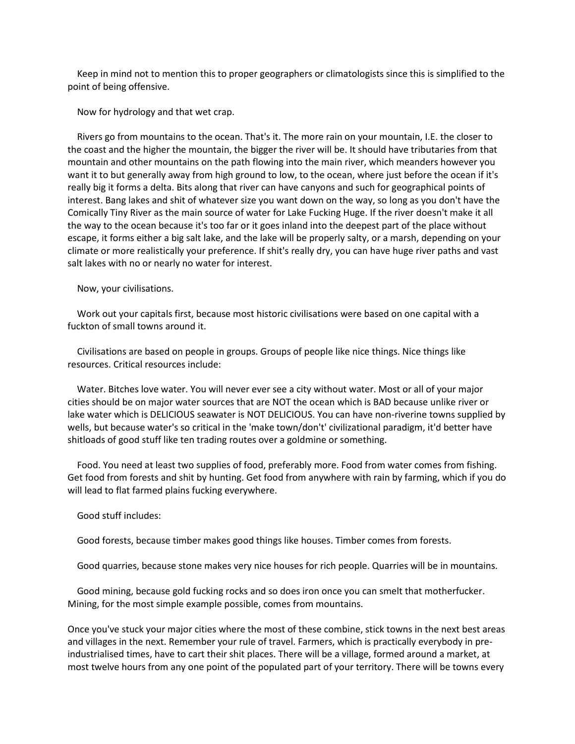Keep in mind not to mention this to proper geographers or climatologists since this is simplified to the point of being offensive.

Now for hydrology and that wet crap.

 Rivers go from mountains to the ocean. That's it. The more rain on your mountain, I.E. the closer to the coast and the higher the mountain, the bigger the river will be. It should have tributaries from that mountain and other mountains on the path flowing into the main river, which meanders however you want it to but generally away from high ground to low, to the ocean, where just before the ocean if it's really big it forms a delta. Bits along that river can have canyons and such for geographical points of interest. Bang lakes and shit of whatever size you want down on the way, so long as you don't have the Comically Tiny River as the main source of water for Lake Fucking Huge. If the river doesn't make it all the way to the ocean because it's too far or it goes inland into the deepest part of the place without escape, it forms either a big salt lake, and the lake will be properly salty, or a marsh, depending on your climate or more realistically your preference. If shit's really dry, you can have huge river paths and vast salt lakes with no or nearly no water for interest.

Now, your civilisations.

 Work out your capitals first, because most historic civilisations were based on one capital with a fuckton of small towns around it.

 Civilisations are based on people in groups. Groups of people like nice things. Nice things like resources. Critical resources include:

 Water. Bitches love water. You will never ever see a city without water. Most or all of your major cities should be on major water sources that are NOT the ocean which is BAD because unlike river or lake water which is DELICIOUS seawater is NOT DELICIOUS. You can have non-riverine towns supplied by wells, but because water's so critical in the 'make town/don't' civilizational paradigm, it'd better have shitloads of good stuff like ten trading routes over a goldmine or something.

 Food. You need at least two supplies of food, preferably more. Food from water comes from fishing. Get food from forests and shit by hunting. Get food from anywhere with rain by farming, which if you do will lead to flat farmed plains fucking everywhere.

Good stuff includes:

Good forests, because timber makes good things like houses. Timber comes from forests.

Good quarries, because stone makes very nice houses for rich people. Quarries will be in mountains.

 Good mining, because gold fucking rocks and so does iron once you can smelt that motherfucker. Mining, for the most simple example possible, comes from mountains.

Once you've stuck your major cities where the most of these combine, stick towns in the next best areas and villages in the next. Remember your rule of travel. Farmers, which is practically everybody in preindustrialised times, have to cart their shit places. There will be a village, formed around a market, at most twelve hours from any one point of the populated part of your territory. There will be towns every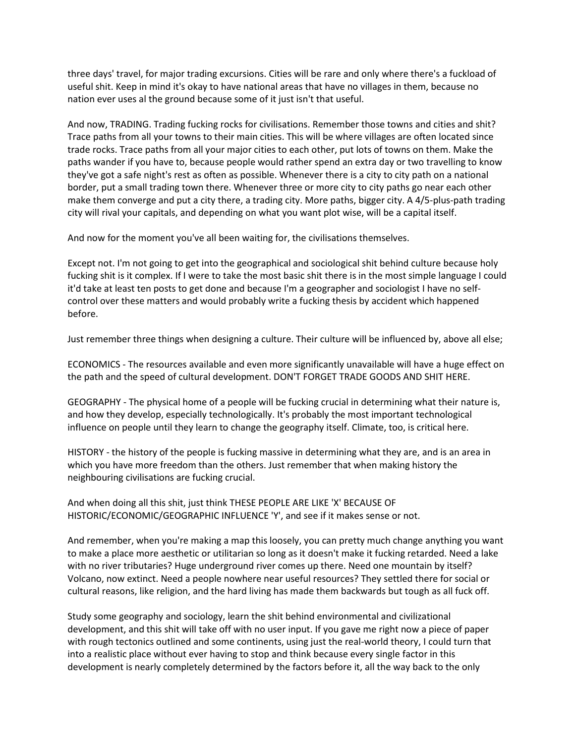three days' travel, for major trading excursions. Cities will be rare and only where there's a fuckload of useful shit. Keep in mind it's okay to have national areas that have no villages in them, because no nation ever uses al the ground because some of it just isn't that useful.

And now, TRADING. Trading fucking rocks for civilisations. Remember those towns and cities and shit? Trace paths from all your towns to their main cities. This will be where villages are often located since trade rocks. Trace paths from all your major cities to each other, put lots of towns on them. Make the paths wander if you have to, because people would rather spend an extra day or two travelling to know they've got a safe night's rest as often as possible. Whenever there is a city to city path on a national border, put a small trading town there. Whenever three or more city to city paths go near each other make them converge and put a city there, a trading city. More paths, bigger city. A 4/5-plus-path trading city will rival your capitals, and depending on what you want plot wise, will be a capital itself.

And now for the moment you've all been waiting for, the civilisations themselves.

Except not. I'm not going to get into the geographical and sociological shit behind culture because holy fucking shit is it complex. If I were to take the most basic shit there is in the most simple language I could it'd take at least ten posts to get done and because I'm a geographer and sociologist I have no selfcontrol over these matters and would probably write a fucking thesis by accident which happened before.

Just remember three things when designing a culture. Their culture will be influenced by, above all else;

ECONOMICS - The resources available and even more significantly unavailable will have a huge effect on the path and the speed of cultural development. DON'T FORGET TRADE GOODS AND SHIT HERE.

GEOGRAPHY - The physical home of a people will be fucking crucial in determining what their nature is, and how they develop, especially technologically. It's probably the most important technological influence on people until they learn to change the geography itself. Climate, too, is critical here.

HISTORY - the history of the people is fucking massive in determining what they are, and is an area in which you have more freedom than the others. Just remember that when making history the neighbouring civilisations are fucking crucial.

And when doing all this shit, just think THESE PEOPLE ARE LIKE 'X' BECAUSE OF HISTORIC/ECONOMIC/GEOGRAPHIC INFLUENCE 'Y', and see if it makes sense or not.

And remember, when you're making a map this loosely, you can pretty much change anything you want to make a place more aesthetic or utilitarian so long as it doesn't make it fucking retarded. Need a lake with no river tributaries? Huge underground river comes up there. Need one mountain by itself? Volcano, now extinct. Need a people nowhere near useful resources? They settled there for social or cultural reasons, like religion, and the hard living has made them backwards but tough as all fuck off.

Study some geography and sociology, learn the shit behind environmental and civilizational development, and this shit will take off with no user input. If you gave me right now a piece of paper with rough tectonics outlined and some continents, using just the real-world theory, I could turn that into a realistic place without ever having to stop and think because every single factor in this development is nearly completely determined by the factors before it, all the way back to the only